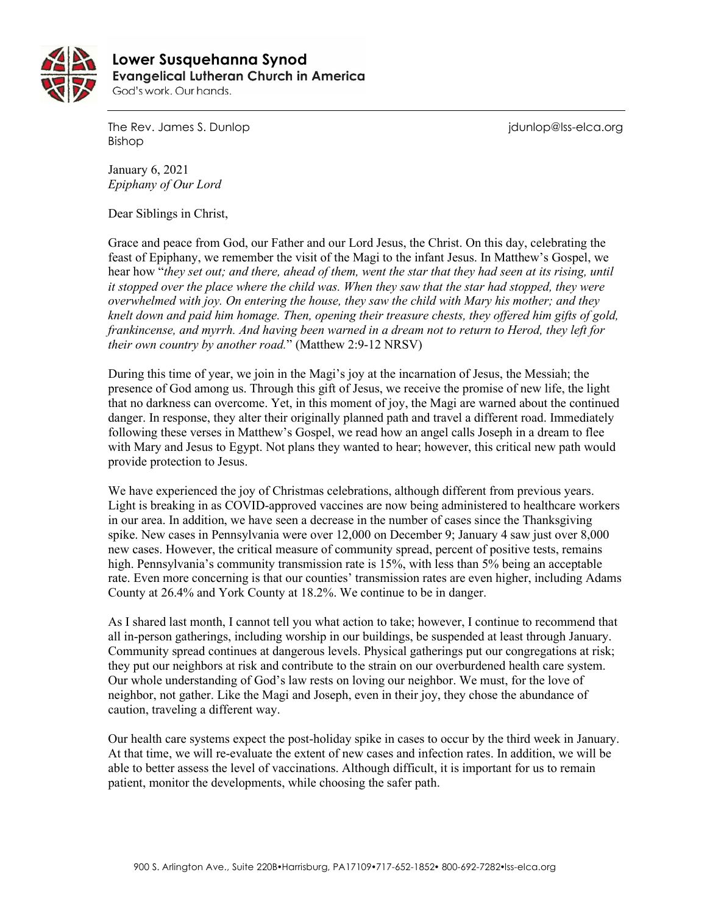

 **Lower Susquehanna SynodEvangelical Lutheran Church in America** God's work. Our hands.

The Rev. James S. Dunlop journalism is a state of the Rev. James S. Dunlop in the Rev. James S. Dunlop in the M Bishop

January 6, 2021 *Epiphany of Our Lord* 

Dear Siblings in Christ,

Grace and peace from God, our Father and our Lord Jesus, the Christ. On this day, celebrating the feast of Epiphany, we remember the visit of the Magi to the infant Jesus. In Matthew's Gospel, we hear how "*they set out; and there, ahead of them, went the star that they had seen at its rising, until it stopped over the place where the child was. When they saw that the star had stopped, they were overwhelmed with joy. On entering the house, they saw the child with Mary his mother; and they knelt down and paid him homage. Then, opening their treasure chests, they offered him gifts of gold, frankincense, and myrrh. And having been warned in a dream not to return to Herod, they left for their own country by another road.*" (Matthew 2:9-12 NRSV)

During this time of year, we join in the Magi's joy at the incarnation of Jesus, the Messiah; the presence of God among us. Through this gift of Jesus, we receive the promise of new life, the light that no darkness can overcome. Yet, in this moment of joy, the Magi are warned about the continued danger. In response, they alter their originally planned path and travel a different road. Immediately following these verses in Matthew's Gospel, we read how an angel calls Joseph in a dream to flee with Mary and Jesus to Egypt. Not plans they wanted to hear; however, this critical new path would provide protection to Jesus.

We have experienced the joy of Christmas celebrations, although different from previous years. Light is breaking in as COVID-approved vaccines are now being administered to healthcare workers in our area. In addition, we have seen a decrease in the number of cases since the Thanksgiving spike. New cases in Pennsylvania were over 12,000 on December 9; January 4 saw just over 8,000 new cases. However, the critical measure of community spread, percent of positive tests, remains high. Pennsylvania's community transmission rate is 15%, with less than 5% being an acceptable rate. Even more concerning is that our counties' transmission rates are even higher, including Adams County at 26.4% and York County at 18.2%. We continue to be in danger.

As I shared last month, I cannot tell you what action to take; however, I continue to recommend that all in-person gatherings, including worship in our buildings, be suspended at least through January. Community spread continues at dangerous levels. Physical gatherings put our congregations at risk; they put our neighbors at risk and contribute to the strain on our overburdened health care system. Our whole understanding of God's law rests on loving our neighbor. We must, for the love of neighbor, not gather. Like the Magi and Joseph, even in their joy, they chose the abundance of caution, traveling a different way.

Our health care systems expect the post-holiday spike in cases to occur by the third week in January. At that time, we will re-evaluate the extent of new cases and infection rates. In addition, we will be able to better assess the level of vaccinations. Although difficult, it is important for us to remain patient, monitor the developments, while choosing the safer path.